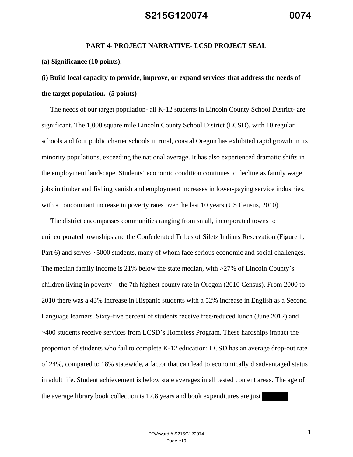#### **PART 4- PROJECT NARRATIVE- LCSD PROJECT SEAL**

**(a) Significance (10 points).** 

# **(i) Build local capacity to provide, improve, or expand services that address the needs of the target population. (5 points)**

 The needs of our target population- all K-12 students in Lincoln County School District- are significant. The 1,000 square mile Lincoln County School District (LCSD), with 10 regular schools and four public charter schools in rural, coastal Oregon has exhibited rapid growth in its minority populations, exceeding the national average. It has also experienced dramatic shifts in the employment landscape. Students' economic condition continues to decline as family wage jobs in timber and fishing vanish and employment increases in lower-paying service industries, with a concomitant increase in poverty rates over the last 10 years (US Census, 2010).

 The district encompasses communities ranging from small, incorporated towns to unincorporated townships and the Confederated Tribes of Siletz Indians Reservation (Figure 1, Part 6) and serves ~5000 students, many of whom face serious economic and social challenges. The median family income is 21% below the state median, with >27% of Lincoln County's children living in poverty – the 7th highest county rate in Oregon (2010 Census). From 2000 to 2010 there was a 43% increase in Hispanic students with a 52% increase in English as a Second Language learners. Sixty-five percent of students receive free/reduced lunch (June 2012) and ~400 students receive services from LCSD's Homeless Program. These hardships impact the proportion of students who fail to complete K-12 education: LCSD has an average drop-out rate of 24%, compared to 18% statewide, a factor that can lead to economically disadvantaged status in adult life. Student achievement is below state averages in all tested content areas. The age of the average library book collection is 17.8 years and book expenditures are just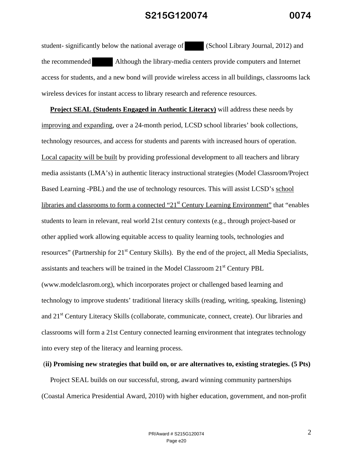student- significantly below the national average of (School Library Journal, 2012) and the recommended Although the library-media centers provide computers and Internet access for students, and a new bond will provide wireless access in all buildings, classrooms lack wireless devices for instant access to library research and reference resources.

**Project SEAL (Students Engaged in Authentic Literacy)** will address these needs by improving and expanding, over a 24-month period, LCSD school libraries' book collections, technology resources, and access for students and parents with increased hours of operation. Local capacity will be built by providing professional development to all teachers and library media assistants (LMA's) in authentic literacy instructional strategies (Model Classroom/Project Based Learning -PBL) and the use of technology resources. This will assist LCSD's school libraries and classrooms to form a connected "21<sup>st</sup> Century Learning Environment" that "enables students to learn in relevant, real world 21st century contexts (e.g., through project-based or other applied work allowing equitable access to quality learning tools, technologies and resources" (Partnership for 21<sup>st</sup> Century Skills). By the end of the project, all Media Specialists, assistants and teachers will be trained in the Model Classroom 21st Century PBL (www.modelclasrom.org), which incorporates project or challenged based learning and technology to improve students' traditional literacy skills (reading, writing, speaking, listening) and 21<sup>st</sup> Century Literacy Skills (collaborate, communicate, connect, create). Our libraries and classrooms will form a 21st Century connected learning environment that integrates technology into every step of the literacy and learning process.

#### (**ii) Promising new strategies that build on, or are alternatives to, existing strategies. (5 Pts)**

 Project SEAL builds on our successful, strong, award winning community partnerships (Coastal America Presidential Award, 2010) with higher education, government, and non-profit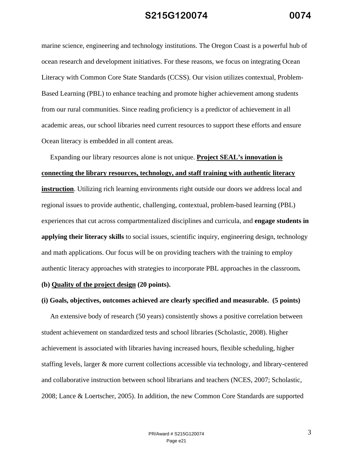marine science, engineering and technology institutions. The Oregon Coast is a powerful hub of ocean research and development initiatives. For these reasons, we focus on integrating Ocean Literacy with Common Core State Standards (CCSS). Our vision utilizes contextual, Problem-Based Learning (PBL) to enhance teaching and promote higher achievement among students from our rural communities. Since reading proficiency is a predictor of achievement in all academic areas, our school libraries need current resources to support these efforts and ensure Ocean literacy is embedded in all content areas.

 Expanding our library resources alone is not unique. **Project SEAL's innovation is connecting the library resources, technology, and staff training with authentic literacy instruction**. Utilizing rich learning environments right outside our doors we address local and regional issues to provide authentic, challenging, contextual, problem-based learning (PBL) experiences that cut across compartmentalized disciplines and curricula, and **engage students in applying their literacy skills** to social issues, scientific inquiry, engineering design, technology and math applications. Our focus will be on providing teachers with the training to employ authentic literacy approaches with strategies to incorporate PBL approaches in the classroom**.** 

#### **(b) Quality of the project design (20 points).**

#### **(i) Goals, objectives, outcomes achieved are clearly specified and measurable. (5 points)**

 An extensive body of research (50 years) consistently shows a positive correlation between student achievement on standardized tests and school libraries (Scholastic, 2008). Higher achievement is associated with libraries having increased hours, flexible scheduling, higher staffing levels, larger & more current collections accessible via technology, and library-centered and collaborative instruction between school librarians and teachers (NCES, 2007; Scholastic, 2008; Lance & Loertscher, 2005). In addition, the new Common Core Standards are supported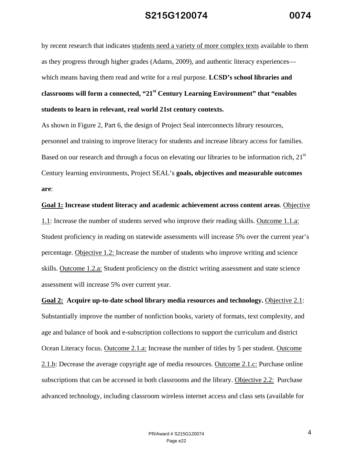by recent research that indicates students need a variety of more complex texts available to them as they progress through higher grades (Adams, 2009), and authentic literacy experiences which means having them read and write for a real purpose. **LCSD's school libraries and classrooms will form a connected, "21st Century Learning Environment" that "enables students to learn in relevant, real world 21st century contexts.**

As shown in Figure 2, Part 6, the design of Project Seal interconnects library resources, personnel and training to improve literacy for students and increase library access for families. Based on our research and through a focus on elevating our libraries to be information rich,  $21<sup>st</sup>$ Century learning environments, Project SEAL's **goals, objectives and measurable outcomes are**:

#### **Goal 1: Increase student literacy and academic achievement across content areas**. Objective

1.1: Increase the number of students served who improve their reading skills. Outcome 1.1.a: Student proficiency in reading on statewide assessments will increase 5% over the current year's percentage. Objective 1.2: Increase the number of students who improve writing and science skills. Outcome 1.2.a: Student proficiency on the district writing assessment and state science assessment will increase 5% over current year.

**Goal 2: Acquire up-to-date school library media resources and technology.** Objective 2.1: Substantially improve the number of nonfiction books, variety of formats, text complexity, and age and balance of book and e-subscription collections to support the curriculum and district Ocean Literacy focus. Outcome 2.1.a: Increase the number of titles by 5 per student. Outcome 2.1.b: Decrease the average copyright age of media resources. Outcome 2.1.c: Purchase online subscriptions that can be accessed in both classrooms and the library. Objective 2.2: Purchase advanced technology, including classroom wireless internet access and class sets (available for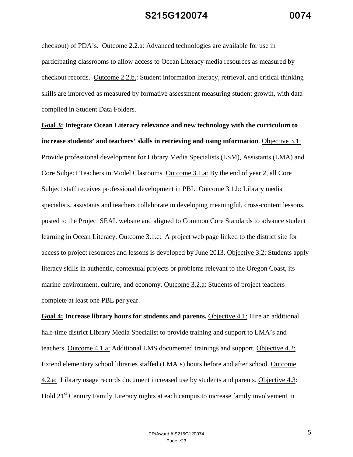checkout) of PDA's. Outcome 2.2.a: Advanced technologies are available for use in participating classrooms to allow access to Ocean Literacy media resources as measured by checkout records. Outcome 2.2.b.: Student information literacy, retrieval, and critical thinking skills are improved as measured by formative assessment measuring student growth, with data compiled in Student Data Folders.

**Goal 3: Integrate Ocean Literacy relevance and new technology with the curriculum to increase students' and teachers' skills in retrieving and using information**. Objective 3.1: Provide professional development for Library Media Specialists (LSM), Assistants (LMA) and Core Subject Teachers in Model Clasrooms. Outcome 3.1.a: By the end of year 2, all Core Subject staff receives professional development in PBL. Outcome 3.1.b: Library media specialists, assistants and teachers collaborate in developing meaningful, cross-content lessons, posted to the Project SEAL website and aligned to Common Core Standards to advance student learning in Ocean Literacy. Outcome 3.1.c: A project web page linked to the district site for access to project resources and lessons is developed by June 2013. Objective 3.2: Students apply literacy skills in authentic, contextual projects or problems relevant to the Oregon Coast, its marine environment, culture, and economy. Outcome 3.2.a: Students of project teachers complete at least one PBL per year.

**Goal 4: Increase library hours for students and parents.** Objective 4.1: Hire an additional half-time district Library Media Specialist to provide training and support to LMA's and teachers. Outcome 4.1.a: Additional LMS documented trainings and support. Objective 4.2: Extend elementary school libraries staffed (LMA's) hours before and after school. Outcome 4.2.a: Library usage records document increased use by students and parents. Objective 4.3: Hold 21<sup>st</sup> Century Family Literacy nights at each campus to increase family involvement in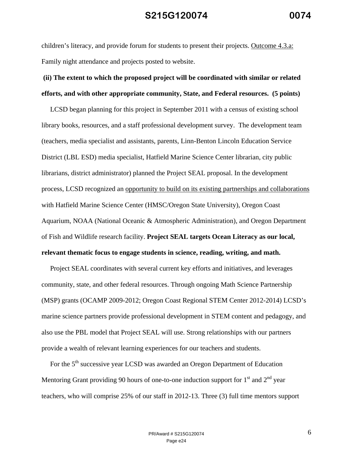children's literacy, and provide forum for students to present their projects. Outcome 4.3.a: Family night attendance and projects posted to website.

## **(ii) The extent to which the proposed project will be coordinated with similar or related efforts, and with other appropriate community, State, and Federal resources. (5 points)**

 LCSD began planning for this project in September 2011 with a census of existing school library books, resources, and a staff professional development survey. The development team (teachers, media specialist and assistants, parents, Linn-Benton Lincoln Education Service District (LBL ESD) media specialist, Hatfield Marine Science Center librarian, city public librarians, district administrator) planned the Project SEAL proposal. In the development process, LCSD recognized an opportunity to build on its existing partnerships and collaborations with Hatfield Marine Science Center (HMSC/Oregon State University), Oregon Coast Aquarium, NOAA (National Oceanic & Atmospheric Administration), and Oregon Department of Fish and Wildlife research facility. **Project SEAL targets Ocean Literacy as our local, relevant thematic focus to engage students in science, reading, writing, and math.**

 Project SEAL coordinates with several current key efforts and initiatives, and leverages community, state, and other federal resources. Through ongoing Math Science Partnership (MSP) grants (OCAMP 2009-2012; Oregon Coast Regional STEM Center 2012-2014) LCSD's marine science partners provide professional development in STEM content and pedagogy, and also use the PBL model that Project SEAL will use. Strong relationships with our partners provide a wealth of relevant learning experiences for our teachers and students.

For the 5<sup>th</sup> successive year LCSD was awarded an Oregon Department of Education Mentoring Grant providing 90 hours of one-to-one induction support for  $1<sup>st</sup>$  and  $2<sup>nd</sup>$  year teachers, who will comprise 25% of our staff in 2012-13. Three (3) full time mentors support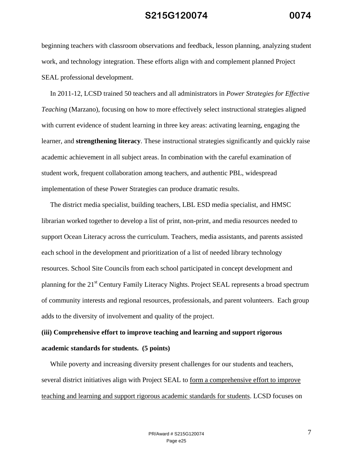beginning teachers with classroom observations and feedback, lesson planning, analyzing student work, and technology integration. These efforts align with and complement planned Project SEAL professional development.

 In 2011-12, LCSD trained 50 teachers and all administrators in *Power Strategies for Effective Teaching* (Marzano), focusing on how to more effectively select instructional strategies aligned with current evidence of student learning in three key areas: activating learning, engaging the learner, and **strengthening literacy**. These instructional strategies significantly and quickly raise academic achievement in all subject areas. In combination with the careful examination of student work, frequent collaboration among teachers, and authentic PBL, widespread implementation of these Power Strategies can produce dramatic results.

 The district media specialist, building teachers, LBL ESD media specialist, and HMSC librarian worked together to develop a list of print, non-print, and media resources needed to support Ocean Literacy across the curriculum. Teachers, media assistants, and parents assisted each school in the development and prioritization of a list of needed library technology resources. School Site Councils from each school participated in concept development and planning for the 21<sup>st</sup> Century Family Literacy Nights. Project SEAL represents a broad spectrum of community interests and regional resources, professionals, and parent volunteers. Each group adds to the diversity of involvement and quality of the project.

# **(iii) Comprehensive effort to improve teaching and learning and support rigorous academic standards for students. (5 points)**

 While poverty and increasing diversity present challenges for our students and teachers, several district initiatives align with Project SEAL to form a comprehensive effort to improve teaching and learning and support rigorous academic standards for students. LCSD focuses on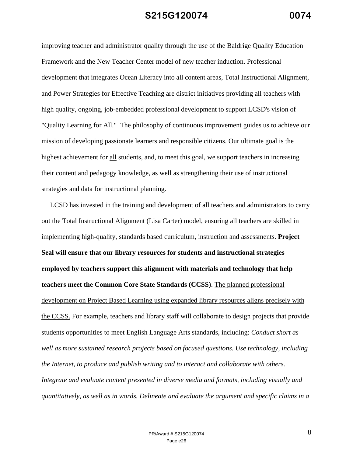improving teacher and administrator quality through the use of the Baldrige Quality Education Framework and the New Teacher Center model of new teacher induction. Professional development that integrates Ocean Literacy into all content areas, Total Instructional Alignment, and Power Strategies for Effective Teaching are district initiatives providing all teachers with high quality, ongoing, job-embedded professional development to support LCSD's vision of "Quality Learning for All." The philosophy of continuous improvement guides us to achieve our mission of developing passionate learners and responsible citizens. Our ultimate goal is the highest achievement for all students, and, to meet this goal, we support teachers in increasing their content and pedagogy knowledge, as well as strengthening their use of instructional strategies and data for instructional planning.

 LCSD has invested in the training and development of all teachers and administrators to carry out the Total Instructional Alignment (Lisa Carter) model, ensuring all teachers are skilled in implementing high-quality, standards based curriculum, instruction and assessments. **Project Seal will ensure that our library resources for students and instructional strategies employed by teachers support this alignment with materials and technology that help teachers meet the Common Core State Standards (CCSS)**. The planned professional development on Project Based Learning using expanded library resources aligns precisely with the CCSS. For example, teachers and library staff will collaborate to design projects that provide students opportunities to meet English Language Arts standards, including: *Conduct short as well as more sustained research projects based on focused questions. Use technology, including the Internet, to produce and publish writing and to interact and collaborate with others. Integrate and evaluate content presented in diverse media and formats, including visually and quantitatively, as well as in words. Delineate and evaluate the argument and specific claims in a*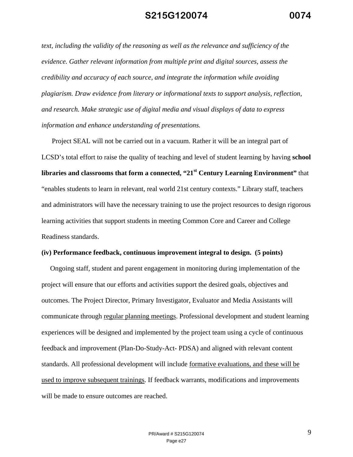*text, including the validity of the reasoning as well as the relevance and sufficiency of the evidence. Gather relevant information from multiple print and digital sources, assess the credibility and accuracy of each source, and integrate the information while avoiding plagiarism. Draw evidence from literary or informational texts to support analysis, reflection, and research. Make strategic use of digital media and visual displays of data to express information and enhance understanding of presentations.*

Project SEAL will not be carried out in a vacuum. Rather it will be an integral part of LCSD's total effort to raise the quality of teaching and level of student learning by having **school libraries and classrooms that form a connected, "21st Century Learning Environment"** that "enables students to learn in relevant, real world 21st century contexts." Library staff, teachers and administrators will have the necessary training to use the project resources to design rigorous learning activities that support students in meeting Common Core and Career and College Readiness standards.

#### **(iv) Performance feedback, continuous improvement integral to design. (5 points)**

 Ongoing staff, student and parent engagement in monitoring during implementation of the project will ensure that our efforts and activities support the desired goals, objectives and outcomes. The Project Director, Primary Investigator, Evaluator and Media Assistants will communicate through regular planning meetings. Professional development and student learning experiences will be designed and implemented by the project team using a cycle of continuous feedback and improvement (Plan-Do-Study-Act- PDSA) and aligned with relevant content standards. All professional development will include formative evaluations, and these will be used to improve subsequent trainings. If feedback warrants, modifications and improvements will be made to ensure outcomes are reached.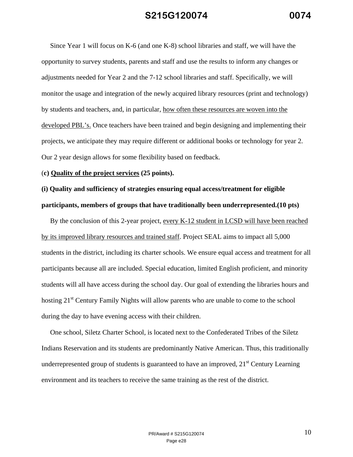Since Year 1 will focus on K-6 (and one K-8) school libraries and staff, we will have the opportunity to survey students, parents and staff and use the results to inform any changes or adjustments needed for Year 2 and the 7-12 school libraries and staff. Specifically, we will monitor the usage and integration of the newly acquired library resources (print and technology) by students and teachers, and, in particular, how often these resources are woven into the developed PBL's. Once teachers have been trained and begin designing and implementing their projects, we anticipate they may require different or additional books or technology for year 2. Our 2 year design allows for some flexibility based on feedback.

(**c) Quality of the project services (25 points).** 

## **(i) Quality and sufficiency of strategies ensuring equal access/treatment for eligible participants, members of groups that have traditionally been underrepresented.(10 pts)**

 By the conclusion of this 2-year project, every K-12 student in LCSD will have been reached by its improved library resources and trained staff. Project SEAL aims to impact all 5,000 students in the district, including its charter schools. We ensure equal access and treatment for all participants because all are included. Special education, limited English proficient, and minority students will all have access during the school day. Our goal of extending the libraries hours and hosting 21<sup>st</sup> Century Family Nights will allow parents who are unable to come to the school during the day to have evening access with their children.

 One school, Siletz Charter School, is located next to the Confederated Tribes of the Siletz Indians Reservation and its students are predominantly Native American. Thus, this traditionally underrepresented group of students is guaranteed to have an improved,  $21<sup>st</sup>$  Century Learning environment and its teachers to receive the same training as the rest of the district.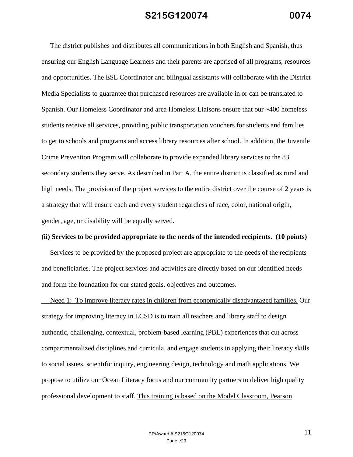The district publishes and distributes all communications in both English and Spanish, thus ensuring our English Language Learners and their parents are apprised of all programs, resources and opportunities. The ESL Coordinator and bilingual assistants will collaborate with the District Media Specialists to guarantee that purchased resources are available in or can be translated to Spanish. Our Homeless Coordinator and area Homeless Liaisons ensure that our ~400 homeless students receive all services, providing public transportation vouchers for students and families to get to schools and programs and access library resources after school. In addition, the Juvenile Crime Prevention Program will collaborate to provide expanded library services to the 83 secondary students they serve. As described in Part A, the entire district is classified as rural and high needs, The provision of the project services to the entire district over the course of 2 years is a strategy that will ensure each and every student regardless of race, color, national origin, gender, age, or disability will be equally served.

#### **(ii) Services to be provided appropriate to the needs of the intended recipients. (10 points)**

 Services to be provided by the proposed project are appropriate to the needs of the recipients and beneficiaries. The project services and activities are directly based on our identified needs and form the foundation for our stated goals, objectives and outcomes.

 Need 1: To improve literacy rates in children from economically disadvantaged families. Our strategy for improving literacy in LCSD is to train all teachers and library staff to design authentic, challenging, contextual, problem-based learning (PBL) experiences that cut across compartmentalized disciplines and curricula, and engage students in applying their literacy skills to social issues, scientific inquiry, engineering design, technology and math applications. We propose to utilize our Ocean Literacy focus and our community partners to deliver high quality professional development to staff. This training is based on the Model Classroom, Pearson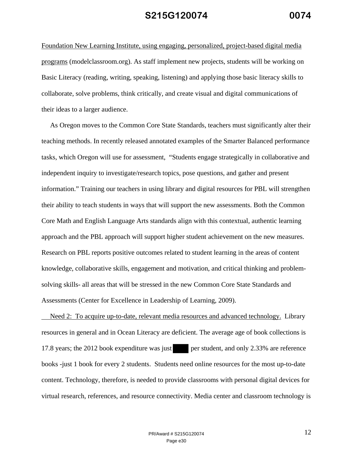Foundation New Learning Institute, using engaging, personalized, project-based digital media programs (modelclassroom.org). As staff implement new projects, students will be working on Basic Literacy (reading, writing, speaking, listening) and applying those basic literacy skills to collaborate, solve problems, think critically, and create visual and digital communications of their ideas to a larger audience.

 As Oregon moves to the Common Core State Standards, teachers must significantly alter their teaching methods. In recently released annotated examples of the Smarter Balanced performance tasks, which Oregon will use for assessment, "Students engage strategically in collaborative and independent inquiry to investigate/research topics, pose questions, and gather and present information." Training our teachers in using library and digital resources for PBL will strengthen their ability to teach students in ways that will support the new assessments. Both the Common Core Math and English Language Arts standards align with this contextual, authentic learning approach and the PBL approach will support higher student achievement on the new measures. Research on PBL reports positive outcomes related to student learning in the areas of content knowledge, collaborative skills, engagement and motivation, and critical thinking and problemsolving skills- all areas that will be stressed in the new Common Core State Standards and Assessments (Center for Excellence in Leadership of Learning, 2009).

 Need 2: To acquire up-to-date, relevant media resources and advanced technology. Library resources in general and in Ocean Literacy are deficient. The average age of book collections is 17.8 years; the 2012 book expenditure was just per student, and only 2.33% are reference books -just 1 book for every 2 students. Students need online resources for the most up-to-date content. Technology, therefore, is needed to provide classrooms with personal digital devices for virtual research, references, and resource connectivity. Media center and classroom technology is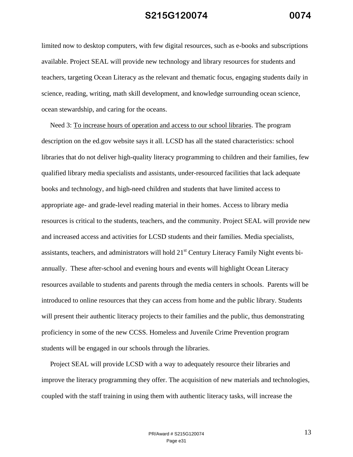limited now to desktop computers, with few digital resources, such as e-books and subscriptions available. Project SEAL will provide new technology and library resources for students and teachers, targeting Ocean Literacy as the relevant and thematic focus, engaging students daily in science, reading, writing, math skill development, and knowledge surrounding ocean science, ocean stewardship, and caring for the oceans.

 Need 3: To increase hours of operation and access to our school libraries. The program description on the ed.gov website says it all. LCSD has all the stated characteristics: school libraries that do not deliver high-quality literacy programming to children and their families, few qualified library media specialists and assistants, under-resourced facilities that lack adequate books and technology, and high-need children and students that have limited access to appropriate age- and grade-level reading material in their homes. Access to library media resources is critical to the students, teachers, and the community. Project SEAL will provide new and increased access and activities for LCSD students and their families. Media specialists, assistants, teachers, and administrators will hold  $21<sup>st</sup>$  Century Literacy Family Night events biannually. These after-school and evening hours and events will highlight Ocean Literacy resources available to students and parents through the media centers in schools. Parents will be introduced to online resources that they can access from home and the public library. Students will present their authentic literacy projects to their families and the public, thus demonstrating proficiency in some of the new CCSS. Homeless and Juvenile Crime Prevention program students will be engaged in our schools through the libraries.

 Project SEAL will provide LCSD with a way to adequately resource their libraries and improve the literacy programming they offer. The acquisition of new materials and technologies, coupled with the staff training in using them with authentic literacy tasks, will increase the

> PR/Award # S215G120074 Page e31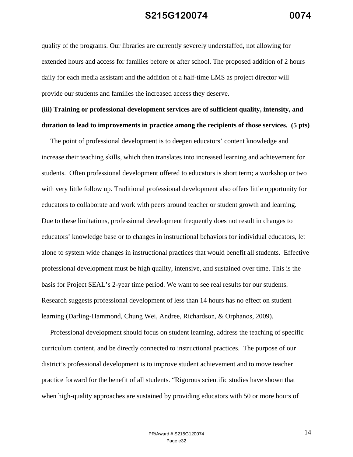quality of the programs. Our libraries are currently severely understaffed, not allowing for extended hours and access for families before or after school. The proposed addition of 2 hours daily for each media assistant and the addition of a half-time LMS as project director will provide our students and families the increased access they deserve.

## **(iii) Training or professional development services are of sufficient quality, intensity, and duration to lead to improvements in practice among the recipients of those services. (5 pts)**

 The point of professional development is to deepen educators' content knowledge and increase their teaching skills, which then translates into increased learning and achievement for students. Often professional development offered to educators is short term; a workshop or two with very little follow up. Traditional professional development also offers little opportunity for educators to collaborate and work with peers around teacher or student growth and learning. Due to these limitations, professional development frequently does not result in changes to educators' knowledge base or to changes in instructional behaviors for individual educators, let alone to system wide changes in instructional practices that would benefit all students. Effective professional development must be high quality, intensive, and sustained over time. This is the basis for Project SEAL's 2-year time period. We want to see real results for our students. Research suggests professional development of less than 14 hours has no effect on student learning (Darling-Hammond, Chung Wei, Andree, Richardson, & Orphanos, 2009).

 Professional development should focus on student learning, address the teaching of specific curriculum content, and be directly connected to instructional practices. The purpose of our district's professional development is to improve student achievement and to move teacher practice forward for the benefit of all students. "Rigorous scientific studies have shown that when high-quality approaches are sustained by providing educators with 50 or more hours of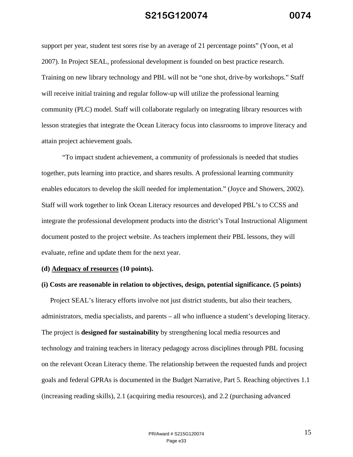support per year, student test sores rise by an average of 21 percentage points" (Yoon, et al 2007). In Project SEAL, professional development is founded on best practice research. Training on new library technology and PBL will not be "one shot, drive-by workshops." Staff will receive initial training and regular follow-up will utilize the professional learning community (PLC) model. Staff will collaborate regularly on integrating library resources with lesson strategies that integrate the Ocean Literacy focus into classrooms to improve literacy and attain project achievement goals.

"To impact student achievement, a community of professionals is needed that studies together, puts learning into practice, and shares results. A professional learning community enables educators to develop the skill needed for implementation." (Joyce and Showers, 2002). Staff will work together to link Ocean Literacy resources and developed PBL's to CCSS and integrate the professional development products into the district's Total Instructional Alignment document posted to the project website. As teachers implement their PBL lessons, they will evaluate, refine and update them for the next year.

#### **(d) Adequacy of resources (10 points).**

#### **(i) Costs are reasonable in relation to objectives, design, potential significance. (5 points)**

 Project SEAL's literacy efforts involve not just district students, but also their teachers, administrators, media specialists, and parents – all who influence a student's developing literacy. The project is **designed for sustainability** by strengthening local media resources and technology and training teachers in literacy pedagogy across disciplines through PBL focusing on the relevant Ocean Literacy theme. The relationship between the requested funds and project goals and federal GPRAs is documented in the Budget Narrative, Part 5. Reaching objectives 1.1 (increasing reading skills), 2.1 (acquiring media resources), and 2.2 (purchasing advanced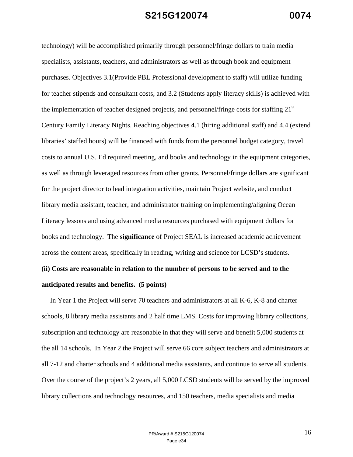technology) will be accomplished primarily through personnel/fringe dollars to train media specialists, assistants, teachers, and administrators as well as through book and equipment purchases. Objectives 3.1(Provide PBL Professional development to staff) will utilize funding for teacher stipends and consultant costs, and 3.2 (Students apply literacy skills) is achieved with the implementation of teacher designed projects, and personnel/fringe costs for staffing  $21<sup>st</sup>$ Century Family Literacy Nights. Reaching objectives 4.1 (hiring additional staff) and 4.4 (extend libraries' staffed hours) will be financed with funds from the personnel budget category, travel costs to annual U.S. Ed required meeting, and books and technology in the equipment categories, as well as through leveraged resources from other grants. Personnel/fringe dollars are significant for the project director to lead integration activities, maintain Project website, and conduct library media assistant, teacher, and administrator training on implementing/aligning Ocean Literacy lessons and using advanced media resources purchased with equipment dollars for books and technology. The **significance** of Project SEAL is increased academic achievement across the content areas, specifically in reading, writing and science for LCSD's students. **(ii) Costs are reasonable in relation to the number of persons to be served and to the** 

#### **anticipated results and benefits. (5 points)**

 In Year 1 the Project will serve 70 teachers and administrators at all K-6, K-8 and charter schools, 8 library media assistants and 2 half time LMS. Costs for improving library collections, subscription and technology are reasonable in that they will serve and benefit 5,000 students at the all 14 schools. In Year 2 the Project will serve 66 core subject teachers and administrators at all 7-12 and charter schools and 4 additional media assistants, and continue to serve all students. Over the course of the project's 2 years, all 5,000 LCSD students will be served by the improved library collections and technology resources, and 150 teachers, media specialists and media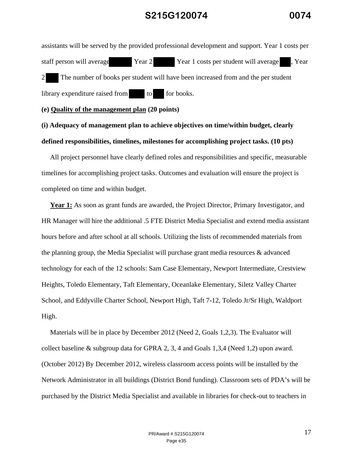assistants will be served by the provided professional development and support. Year 1 costs per staff person will average Year 2 Year 1 costs per student will average , Year 2 The number of books per student will have been increased from and the per student library expenditure raised from to for books.

#### **(e) Quality of the management plan (20 points)**

**(i) Adequacy of management plan to achieve objectives on time/within budget, clearly defined responsibilities, timelines, milestones for accomplishing project tasks. (10 pts)** 

 All project personnel have clearly defined roles and responsibilities and specific, measurable timelines for accomplishing project tasks. Outcomes and evaluation will ensure the project is completed on time and within budget.

Year 1: As soon as grant funds are awarded, the Project Director, Primary Investigator, and HR Manager will hire the additional .5 FTE District Media Specialist and extend media assistant hours before and after school at all schools. Utilizing the lists of recommended materials from the planning group, the Media Specialist will purchase grant media resources & advanced technology for each of the 12 schools: Sam Case Elementary, Newport Intermediate, Crestview Heights, Toledo Elementary, Taft Elementary, Oceanlake Elementary, Siletz Valley Charter School, and Eddyville Charter School, Newport High, Taft 7-12, Toledo Jr/Sr High, Waldport High.

 Materials will be in place by December 2012 (Need 2, Goals 1,2,3). The Evaluator will collect baseline & subgroup data for GPRA 2, 3, 4 and Goals 1,3,4 (Need 1,2) upon award. (October 2012) By December 2012, wireless classroom access points will be installed by the Network Administrator in all buildings (District Bond funding). Classroom sets of PDA's will be purchased by the District Media Specialist and available in libraries for check-out to teachers in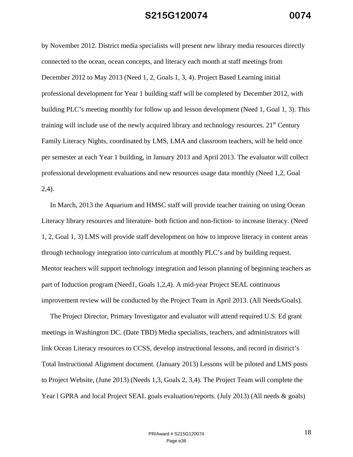by November 2012. District media specialists will present new library media resources directly connected to the ocean, ocean concepts, and literacy each month at staff meetings from December 2012 to May 2013 (Need 1, 2, Goals 1, 3, 4). Project Based Learning initial professional development for Year 1 building staff will be completed by December 2012, with building PLC's meeting monthly for follow up and lesson development (Need 1, Goal 1, 3). This training will include use of the newly acquired library and technology resources.  $21<sup>st</sup>$  Century Family Literacy Nights, coordinated by LMS, LMA and classroom teachers, will be held once per semester at each Year 1 building, in January 2013 and April 2013. The evaluator will collect professional development evaluations and new resources usage data monthly (Need 1,2, Goal 2,4).

 In March, 2013 the Aquarium and HMSC staff will provide teacher training on using Ocean Literacy library resources and literature- both fiction and non-fiction- to increase literacy. (Need 1, 2, Goal 1, 3) LMS will provide staff development on how to improve literacy in content areas through technology integration into curriculum at monthly PLC's and by building request. Mentor teachers will support technology integration and lesson planning of beginning teachers as part of Induction program (Need1, Goals 1,2,4). A mid-year Project SEAL continuous improvement review will be conducted by the Project Team in April 2013. (All Needs/Goals).

 The Project Director, Primary Investigator and evaluator will attend required U.S. Ed grant meetings in Washington DC. (Date TBD) Media specialists, teachers, and administrators will link Ocean Literacy resources to CCSS, develop instructional lessons, and record in district's Total Instructional Alignment document. (January 2013) Lessons will be piloted and LMS posts to Project Website, (June 2013) (Needs 1,3, Goals 2, 3,4). The Project Team will complete the Year 1 GPRA and local Project SEAL goals evaluation/reports. (July 2013) (All needs & goals)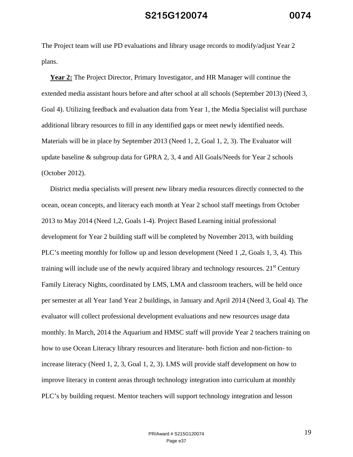The Project team will use PD evaluations and library usage records to modify/adjust Year 2 plans.

 **Year 2:** The Project Director, Primary Investigator, and HR Manager will continue the extended media assistant hours before and after school at all schools (September 2013) (Need 3, Goal 4). Utilizing feedback and evaluation data from Year 1, the Media Specialist will purchase additional library resources to fill in any identified gaps or meet newly identified needs. Materials will be in place by September 2013 (Need 1, 2, Goal 1, 2, 3). The Evaluator will update baseline & subgroup data for GPRA 2, 3, 4 and All Goals/Needs for Year 2 schools (October 2012).

 District media specialists will present new library media resources directly connected to the ocean, ocean concepts, and literacy each month at Year 2 school staff meetings from October 2013 to May 2014 (Need 1,2, Goals 1-4). Project Based Learning initial professional development for Year 2 building staff will be completed by November 2013, with building PLC's meeting monthly for follow up and lesson development (Need 1 ,2, Goals 1, 3, 4). This training will include use of the newly acquired library and technology resources.  $21<sup>st</sup>$  Century Family Literacy Nights, coordinated by LMS, LMA and classroom teachers, will be held once per semester at all Year 1and Year 2 buildings, in January and April 2014 (Need 3, Goal 4). The evaluator will collect professional development evaluations and new resources usage data monthly. In March, 2014 the Aquarium and HMSC staff will provide Year 2 teachers training on how to use Ocean Literacy library resources and literature- both fiction and non-fiction- to increase literacy (Need 1, 2, 3, Goal 1, 2, 3). LMS will provide staff development on how to improve literacy in content areas through technology integration into curriculum at monthly PLC's by building request. Mentor teachers will support technology integration and lesson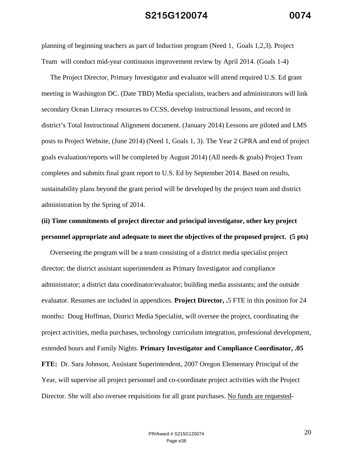planning of beginning teachers as part of Induction program (Need 1, Goals 1,2,3). Project Team will conduct mid-year continuous improvement review by April 2014. (Goals 1-4)

 The Project Director, Primary Investigator and evaluator will attend required U.S. Ed grant meeting in Washington DC. (Date TBD) Media specialists, teachers and administrators will link secondary Ocean Literacy resources to CCSS, develop instructional lessons, and record in district's Total Instructional Alignment document. (January 2014) Lessons are piloted and LMS posts to Project Website, (June 2014) (Need 1, Goals 1, 3). The Year 2 GPRA and end of project goals evaluation/reports will be completed by August 2014) (All needs & goals) Project Team completes and submits final grant report to U.S. Ed by September 2014. Based on results, sustainability plans beyond the grant period will be developed by the project team and district administration by the Spring of 2014.

## **(ii) Time commitments of project director and principal investigator, other key project personnel appropriate and adequate to meet the objectives of the proposed project. (5 pts)**

 Overseeing the program will be a team consisting of a district media specialist project director; the district assistant superintendent as Primary Investigator and compliance administrator; a district data coordinator/evaluator; building media assistants; and the outside evaluator. Resumes are included in appendices. **Project Director, .**5 FTE in this position for 24 months**:** Doug Hoffman, District Media Specialist, will oversee the project, coordinating the project activities, media purchases, technology curriculum integration, professional development, extended hours and Family Nights. **Primary Investigator and Compliance Coordinator, .05 FTE:** Dr. Sara Johnson, Assistant Superintendent, 2007 Oregon Elementary Principal of the Year, will supervise all project personnel and co-coordinate project activities with the Project Director. She will also oversee requisitions for all grant purchases. No funds are requested-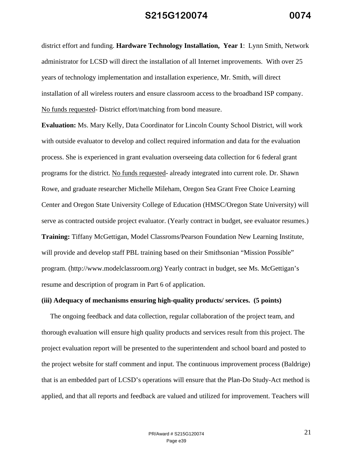district effort and funding. **Hardware Technology Installation, Year 1**: Lynn Smith, Network administrator for LCSD will direct the installation of all Internet improvements. With over 25 years of technology implementation and installation experience, Mr. Smith, will direct installation of all wireless routers and ensure classroom access to the broadband ISP company. No funds requested- District effort/matching from bond measure.

**Evaluation:** Ms. Mary Kelly, Data Coordinator for Lincoln County School District, will work with outside evaluator to develop and collect required information and data for the evaluation process. She is experienced in grant evaluation overseeing data collection for 6 federal grant programs for the district. No funds requested- already integrated into current role. Dr. Shawn Rowe, and graduate researcher Michelle Mileham, Oregon Sea Grant Free Choice Learning Center and Oregon State University College of Education (HMSC/Oregon State University) will serve as contracted outside project evaluator. (Yearly contract in budget, see evaluator resumes.) **Training:** Tiffany McGettigan, Model Classroms/Pearson Foundation New Learning Institute, will provide and develop staff PBL training based on their Smithsonian "Mission Possible" program. (http://www.modelclassroom.org) Yearly contract in budget, see Ms. McGettigan's resume and description of program in Part 6 of application.

#### **(iii) Adequacy of mechanisms ensuring high-quality products/ services. (5 points)**

The ongoing feedback and data collection, regular collaboration of the project team, and thorough evaluation will ensure high quality products and services result from this project. The project evaluation report will be presented to the superintendent and school board and posted to the project website for staff comment and input. The continuous improvement process (Baldrige) that is an embedded part of LCSD's operations will ensure that the Plan-Do Study-Act method is applied, and that all reports and feedback are valued and utilized for improvement. Teachers will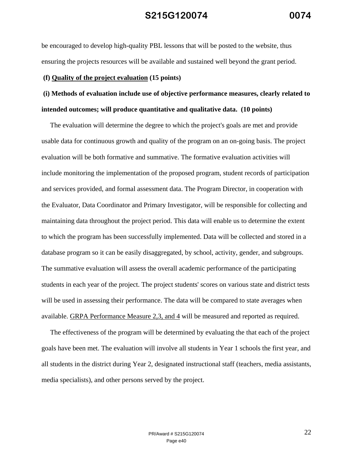be encouraged to develop high-quality PBL lessons that will be posted to the website, thus ensuring the projects resources will be available and sustained well beyond the grant period.

#### **(f) Quality of the project evaluation (15 points)**

# **(i) Methods of evaluation include use of objective performance measures, clearly related to intended outcomes; will produce quantitative and qualitative data. (10 points)**

 The evaluation will determine the degree to which the project's goals are met and provide usable data for continuous growth and quality of the program on an on-going basis. The project evaluation will be both formative and summative. The formative evaluation activities will include monitoring the implementation of the proposed program, student records of participation and services provided, and formal assessment data. The Program Director, in cooperation with the Evaluator, Data Coordinator and Primary Investigator, will be responsible for collecting and maintaining data throughout the project period. This data will enable us to determine the extent to which the program has been successfully implemented. Data will be collected and stored in a database program so it can be easily disaggregated, by school, activity, gender, and subgroups. The summative evaluation will assess the overall academic performance of the participating students in each year of the project. The project students' scores on various state and district tests will be used in assessing their performance. The data will be compared to state averages when available. GRPA Performance Measure 2,3, and 4 will be measured and reported as required.

 The effectiveness of the program will be determined by evaluating the that each of the project goals have been met. The evaluation will involve all students in Year 1 schools the first year, and all students in the district during Year 2, designated instructional staff (teachers, media assistants, media specialists), and other persons served by the project.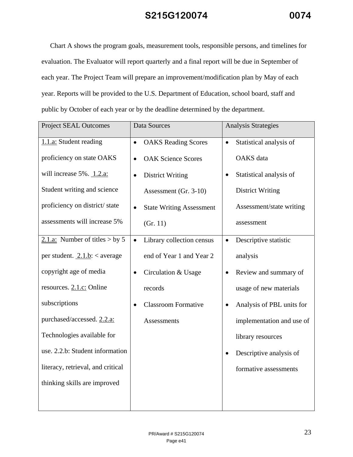Chart A shows the program goals, measurement tools, responsible persons, and timelines for evaluation. The Evaluator will report quarterly and a final report will be due in September of each year. The Project Team will prepare an improvement/modification plan by May of each year. Reports will be provided to the U.S. Department of Education, school board, staff and public by October of each year or by the deadline determined by the department.

| <b>Project SEAL Outcomes</b>      | Data Sources                                 | <b>Analysis Strategies</b>           |  |
|-----------------------------------|----------------------------------------------|--------------------------------------|--|
| 1.1.a: Student reading            | <b>OAKS</b> Reading Scores<br>$\bullet$      | Statistical analysis of<br>$\bullet$ |  |
| proficiency on state OAKS         | <b>OAK Science Scores</b><br>$\bullet$       | <b>OAKS</b> data                     |  |
| will increase $5\%$ . $1.2.a$ :   | <b>District Writing</b><br>$\bullet$         | Statistical analysis of<br>$\bullet$ |  |
| Student writing and science       | Assessment (Gr. 3-10)                        | <b>District Writing</b>              |  |
| proficiency on district/state     | <b>State Writing Assessment</b><br>$\bullet$ | Assessment/state writing             |  |
| assessments will increase 5%      | (Gr. 11)                                     | assessment                           |  |
| 2.1.a: Number of titles > by 5    | Library collection census<br>$\bullet$       | Descriptive statistic<br>$\bullet$   |  |
| per student. $2.1.b$ : < average  | end of Year 1 and Year 2                     | analysis                             |  |
| copyright age of media            | Circulation & Usage<br>$\bullet$             | Review and summary of                |  |
| resources. 2.1.c: Online          | records                                      | usage of new materials               |  |
| subscriptions                     | <b>Classroom Formative</b><br>$\bullet$      | Analysis of PBL units for            |  |
| purchased/accessed. 2.2.a:        | <b>Assessments</b>                           | implementation and use of            |  |
| Technologies available for        |                                              | library resources                    |  |
| use. 2.2.b: Student information   |                                              | Descriptive analysis of              |  |
| literacy, retrieval, and critical |                                              | formative assessments                |  |
| thinking skills are improved      |                                              |                                      |  |
|                                   |                                              |                                      |  |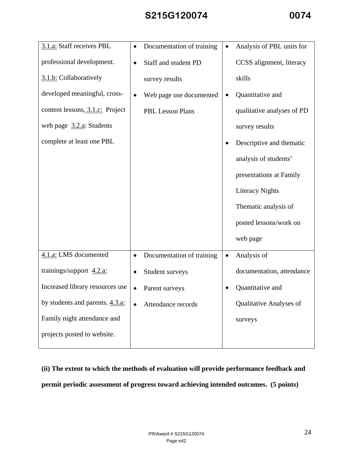| 3.1.a: Staff receives PBL       | $\bullet$ | Documentation of training |           | Analysis of PBL units for  |
|---------------------------------|-----------|---------------------------|-----------|----------------------------|
| professional development.       |           | Staff and student PD      |           | CCSS alignment, literacy   |
| 3.1.b: Collaboratively          |           | survey results            |           | skills                     |
| developed meaningful, cross-    | $\bullet$ | Web page use documented   |           | Quantitative and           |
| content lessons, 3.1.c: Project |           | <b>PBL Lesson Plans</b>   |           | qualitative analyses of PD |
| web page $3.2.a$ : Students     |           |                           |           | survey results             |
| complete at least one PBL       |           |                           |           | Descriptive and thematic   |
|                                 |           |                           |           | analysis of students'      |
|                                 |           |                           |           | presentations at Family    |
|                                 |           |                           |           | <b>Literacy Nights</b>     |
|                                 |           |                           |           | Thematic analysis of       |
|                                 |           |                           |           | posted lessons/work on     |
|                                 |           |                           |           | web page                   |
| 4.1.a: LMS documented           | $\bullet$ | Documentation of training | $\bullet$ | Analysis of                |
| trainings/support $4.2.a$ :     | $\bullet$ | Student surveys           |           | documentation, attendance  |
| Increased library resources use | $\bullet$ | Parent surveys            |           | Quantitative and           |
| by students and parents. 4.3.a: |           | Attendance records        |           | Qualitative Analyses of    |
| Family night attendance and     |           |                           |           | surveys                    |
| projects posted to website.     |           |                           |           |                            |
|                                 |           |                           |           |                            |

**(ii) The extent to which the methods of evaluation will provide performance feedback and permit periodic assessment of progress toward achieving intended outcomes. (5 points)**